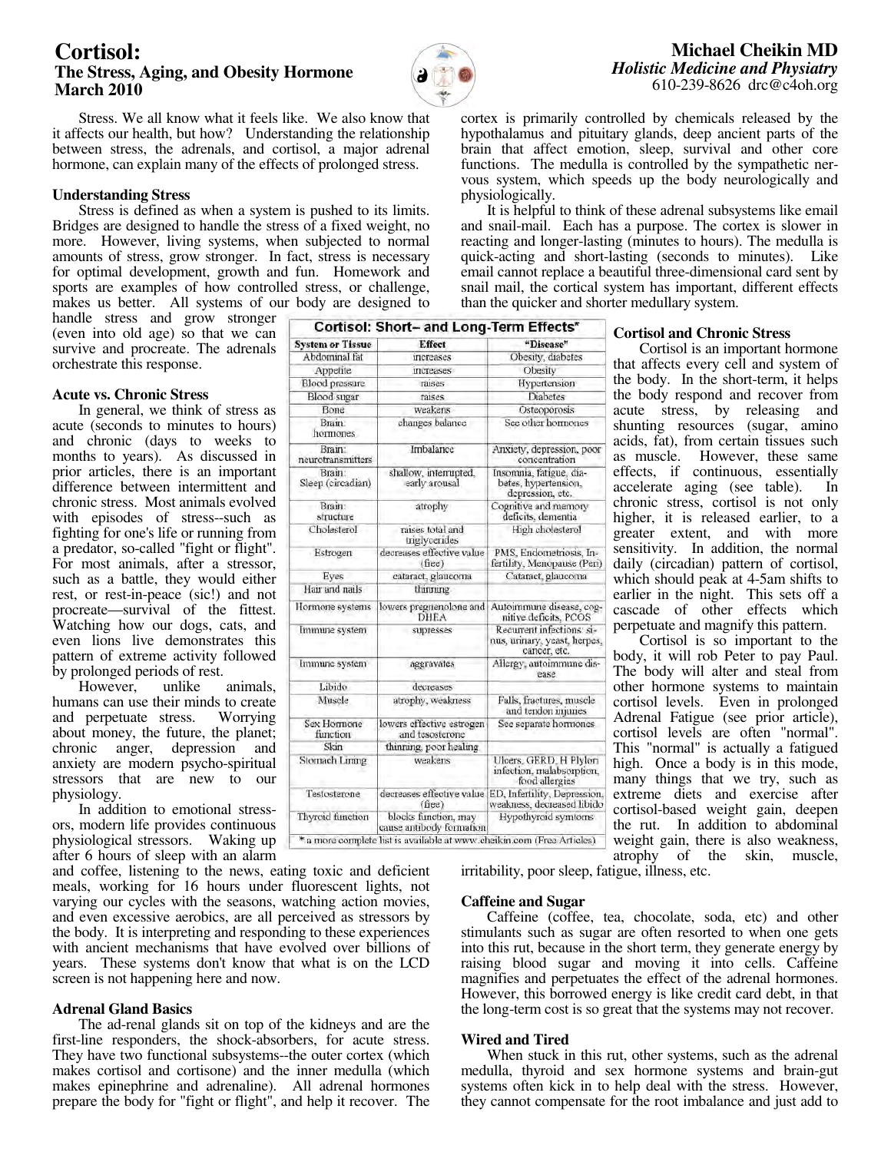# **Cortisol: The Stress, Aging, and Obesity Hormone March 2010**



physiologically.

hypothalamus and pituitary glands, deep ancient parts of the brain that affect emotion, sleep, survival and other core functions. The medulla is controlled by the sympathetic nervous system, which speeds up the body neurologically and

 It is helpful to think of these adrenal subsystems like email and snail-mail. Each has a purpose. The cortex is slower in reacting and longer-lasting (minutes to hours). The medulla is quick-acting and short-lasting (seconds to minutes). Like email cannot replace a beautiful three-dimensional card sent by snail mail, the cortical system has important, different effects

than the quicker and shorter medullary system.

 Stress. We all know what it feels like. We also know that it affects our health, but how? Understanding the relationship between stress, the adrenals, and cortisol, a major adrenal hormone, can explain many of the effects of prolonged stress.

#### **Understanding Stress**

 Stress is defined as when a system is pushed to its limits. Bridges are designed to handle the stress of a fixed weight, no more. However, living systems, when subjected to normal amounts of stress, grow stronger. In fact, stress is necessary for optimal development, growth and fun. Homework and sports are examples of how controlled stress, or challenge, makes us better. All systems of our body are designed to

handle stress and grow stronger (even into old age) so that we can survive and procreate. The adrenals orchestrate this response.

#### **Acute vs. Chronic Stress**

 In general, we think of stress as acute (seconds to minutes to hours) and chronic (days to weeks to months to years). As discussed in prior articles, there is an important difference between intermittent and chronic stress. Most animals evolved with episodes of stress--such as fighting for one's life or running from a predator, so-called "fight or flight". For most animals, after a stressor, such as a battle, they would either rest, or rest-in-peace (sic!) and not procreate—survival of the fittest. Watching how our dogs, cats, and even lions live demonstrates this pattern of extreme activity followed by prolonged periods of rest.<br>However, unlike animals,

However, unlike humans can use their minds to create<br>and perpetuate stress. Worrying and perpetuate stress. about money, the future, the planet; chronic anger, depression and anxiety are modern psycho-spiritual stressors that are new to our physiology.

 In addition to emotional stressors, modern life provides continuous physiological stressors. Waking up after 6 hours of sleep with an alarm

and coffee, listening to the news, eating toxic and deficient meals, working for 16 hours under fluorescent lights, not varying our cycles with the seasons, watching action movies, and even excessive aerobics, are all perceived as stressors by the body. It is interpreting and responding to these experiences with ancient mechanisms that have evolved over billions of years. These systems don't know that what is on the LCD screen is not happening here and now.

# **Adrenal Gland Basics**

 The ad-renal glands sit on top of the kidneys and are the first-line responders, the shock-absorbers, for acute stress. They have two functional subsystems--the outer cortex (which makes cortisol and cortisone) and the inner medulla (which makes epinephrine and adrenaline). All adrenal hormones prepare the body for "fight or flight", and help it recover. The

| <b>System or Tissue</b>     | Effect                                           | "Disease"                                                                |
|-----------------------------|--------------------------------------------------|--------------------------------------------------------------------------|
| Abdominal fat               | increases                                        | Obesity, diabetes                                                        |
| Appelite                    | mcreases                                         | Obesity                                                                  |
| <b>Blood pressure</b>       | raises                                           | Hypertension                                                             |
| Blood sugar                 | raises                                           | <b>Diabetes</b>                                                          |
| Bone                        | weakens                                          | Osteopórosis                                                             |
| Brain:<br>hormones          | changes balance                                  | See other hormones                                                       |
| Brain:<br>neurotransmitters | Imbalance                                        | Anxiety, depression, poor<br>concentration                               |
| Brain:<br>Sleep (circadian) | shallow, interrupted,<br>early arousal           | Insonuia, fatigue, dia-<br>betes, hypertension.<br>depression, etc.      |
| Brain:<br>structure         | atrophy                                          | Cognitive and memory<br>deficits, dementia                               |
| Cholesterol                 | raises total and<br>triglycerides                | High cholesterol                                                         |
| Estrogen                    | decreases effective value<br>(fice)              | PMS, Endometriosis, In-<br>fertility, Menopause (Pen)                    |
| Eyes                        | cataract, glaucoma                               | Cataract, glaucoma                                                       |
| Hair and nails              | thinning                                         |                                                                          |
| Hormone systems             | lowers pregnenolone and<br><b>DHEA</b>           | Autoimmune disease, cog-<br>nitive deficits. PCOS                        |
| Immute system               | supresses                                        | Recurrent infections: si-<br>nus, unnary, yeast, herpes,<br>cancer, etc. |
| Immune system               | aggravates                                       | Allergy, autoimmune dis-<br>ease                                         |
| Libido                      | decreases                                        |                                                                          |
| Muscle                      | atrophy, weakness                                | Falls, fractures, muscle<br>and tendon injunes                           |
| Sex Hormone<br>function     | lowers effective estrogen<br>and tesosterone     | See separate hormones                                                    |
| Skin                        | thinning, poor healing                           |                                                                          |
| Stomach Lining              | weakens                                          | Ulcers, GERD, H Plylori<br>infection, malabsorption,<br>food allergies   |
| Testosterone                | decreases effective value<br>(free)              | ED, Infertility, Depression,<br>weakness, decreased libido               |
| Thyroid function            | blocks function, may<br>cause antibody formation | Hypothyroid symtoms                                                      |

# **Cortisol and Chronic Stress**

 Cortisol is an important hormone that affects every cell and system of the body. In the short-term, it helps the body respond and recover from acute stress, by releasing and shunting resources (sugar, amino acids, fat), from certain tissues such as muscle. However, these same effects, if continuous, essentially accelerate aging (see table). In chronic stress, cortisol is not only higher, it is released earlier, to a greater extent, and with more sensitivity. In addition, the normal daily (circadian) pattern of cortisol, which should peak at 4-5am shifts to earlier in the night. This sets off a cascade of other effects which perpetuate and magnify this pattern.

 Cortisol is so important to the body, it will rob Peter to pay Paul. The body will alter and steal from other hormone systems to maintain cortisol levels. Even in prolonged Adrenal Fatigue (see prior article), cortisol levels are often "normal". This "normal" is actually a fatigued high. Once a body is in this mode, many things that we try, such as extreme diets and exercise after cortisol-based weight gain, deepen the rut. In addition to abdominal weight gain, there is also weakness, atrophy of the skin, muscle,

irritability, poor sleep, fatigue, illness, etc.

### **Caffeine and Sugar**

 Caffeine (coffee, tea, chocolate, soda, etc) and other stimulants such as sugar are often resorted to when one gets into this rut, because in the short term, they generate energy by raising blood sugar and moving it into cells. Caffeine magnifies and perpetuates the effect of the adrenal hormones. However, this borrowed energy is like credit card debt, in that the long-term cost is so great that the systems may not recover.

### **Wired and Tired**

 When stuck in this rut, other systems, such as the adrenal medulla, thyroid and sex hormone systems and brain-gut systems often kick in to help deal with the stress. However, they cannot compensate for the root imbalance and just add to